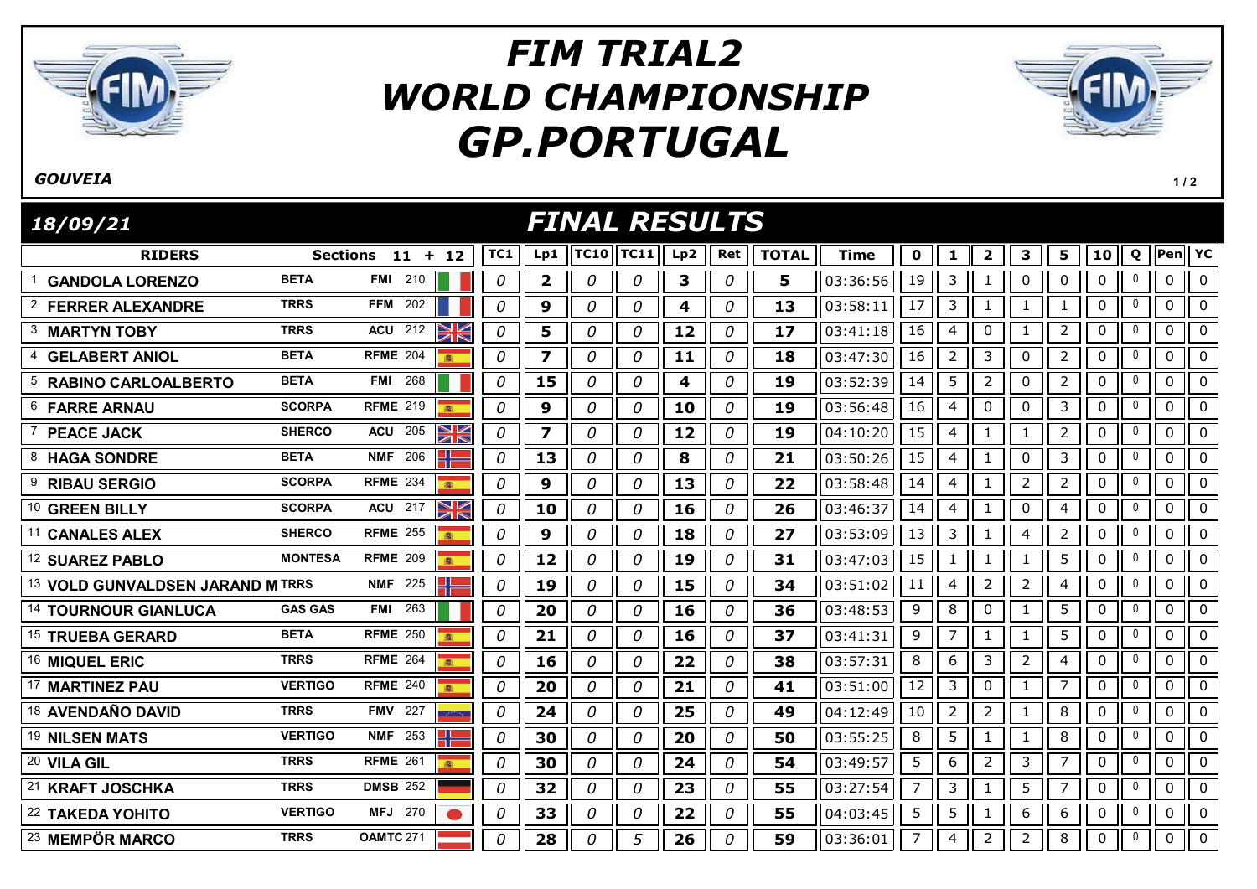

## GP.PORTUGAL FIM TRIAL2 WORLD CHAMPIONSHIP



 $1/2$ 

## **GOUVETA**

RIDERS TC1 Lp1 TC10 Lp2 TOTAL Pen Sections 11 12 + FINAL RESULTS 18/09/21 TC11|| Lp2 || Ret || TOTAL || Time || 0 || 1 || 2 || 3 || 5 || 10 || Q ||Pen|| YC <sup>1</sup> GANDOLA LORENZO BETA FMI <sup>210</sup> 0 2 0 0 3 0 5 03:36:56 19 3 1 0 0 0 <sup>0</sup> 0 0 2 FERRER ALEXANDRE TRRS FFM 202 | | | | 0 | 9 | 0 | 0 | 4 | 0 | 13 | 03:58:11 | 17 | 3 | 1 | 1 | 1 | 0 | 0 | 0 3 MARTYN TOBY TRRS ACU 212  $\frac{1}{2}$  0 0 5 0 0 0 12 0 17 03:41:18 16 4 0 1 2 0 0 0 0 <sup>4</sup> GELABERT ANIOL BETA RFME <sup>204</sup> 0 7 0 0 11 0 18 03:47:30 16 2 3 0 2 0 <sup>0</sup> 0 0 <sup>5</sup> RABINO CARLOALBERTO BETA FMI <sup>268</sup> 0 15 0 0 4 0 19 03:52:39 14 5 2 0 2 0 <sup>0</sup> 0 0 <sup>6</sup> FARRE ARNAU SCORPA RFME <sup>219</sup> 0 9 0 0 10 0 19 03:56:48 16 4 0 0 3 0 <sup>0</sup> 0 0 7 **PEACE JACK** SHERCO ACU 205 **2 0 7 0 0 12 0 19** 04:10:20 15 4 1 1 2 0 0 0 8 **HAGA SONDRE** BETA NMF 206 **0 0 13 0 0 3 0 3 0 21** 03:50:26 15 4 1 0 3 0 0 0 0 9 RIBAU SERGIO SCORPA RFME 234 <mark>8 8 0 0 0 0 0 0 0 0 13 0 0 22</mark> 03:58:48 14 4 1 2 2 0 12 0 0 0 0 <sup>10</sup> GREEN BILLY SCORPA ACU <sup>217</sup> 0 10 0 0 16 0 26 03:46:37 14 4 1 0 4 0 <sup>0</sup> 0 0 11 CANALES ALEX SHERCO RFME 255 8 0 0 0 0 0 0 18 0 27 03:53:09 13 3 1 4 2 0 0 0 0 12 SUAREZ PABLO MONTESA RFME 209 8 0 0 12 0 0 0 19 0 31 03:47:03 15 1 1 1 5 0 0 0 0 <sup>13</sup> VOLD GUNVALDSEN JARAND M TRRS NMF <sup>225</sup> 0 19 0 0 15 0 34 03:51:02 11 4 2 2 4 0 <sup>0</sup> 0 0 14 **TOURNOUR GIANLUCA** GAS GAS FMI 263 **1 1 0 1 20 1** *0* **1** *0* **1 16 1** *0* **1 36 1 03:48:53 9 1 8 1 0 1 1 1 5 1 0 1 0 1 0 1 0** 15 TRUEBA GERARD BETA RFME 250 8 | 0 | 21 | 0 | 0 | 16 | 0 | 37 | 03:41:31 | 9 | 7 | 1 | 1 | 5 | 0 | 0 | 0 | 0 16 MIQUEL ERIC TRRS RFME 264 8 0 0 16 0 0 22 0 38 03:57:31 8 6 3 2 4 0 0 0 0 <sup>17</sup> MARTINEZ PAU VERTIGO RFME <sup>240</sup> 0 20 0 0 21 0 41 03:51:00 12 3 0 1 7 0 <sup>0</sup> 0 0 <sup>18</sup> AVENDAÑO DAVID TRRS FMV <sup>227</sup> 0 24 0 0 25 0 49 04:12:49 10 2 2 1 8 0 <sup>0</sup> 0 0 <sup>19</sup> NILSEN MATS VERTIGO NMF <sup>253</sup> 0 30 0 0 20 0 50 03:55:25 8 5 1 1 8 0 <sup>0</sup> 0 0 <sup>20</sup> VILA GIL TRRS RFME <sup>261</sup> 0 30 0 0 24 0 54 03:49:57 5 6 2 3 7 0 <sup>0</sup> 0 0 <sup>21</sup> KRAFT JOSCHKA TRRS DMSB <sup>252</sup> 0 32 0 0 23 0 55 03:27:54 7 3 1 5 7 0 <sup>0</sup> 0 0 22 TAKEDA YOHITO VERTIGO MFJ 270 |● | 0 | 33 | 0 | 0 | 22 | 0 | 55 | 04:03:45 | 5 | 5 | 1 | 6 | 6 | 0 | 0 | 0 | 0

23 MEMPÖR MARCO TRRS OAMTC 271 | 0 28 0 5 26 0 5 36:01 7 4 2 3 3 0 0 0 0 0 0